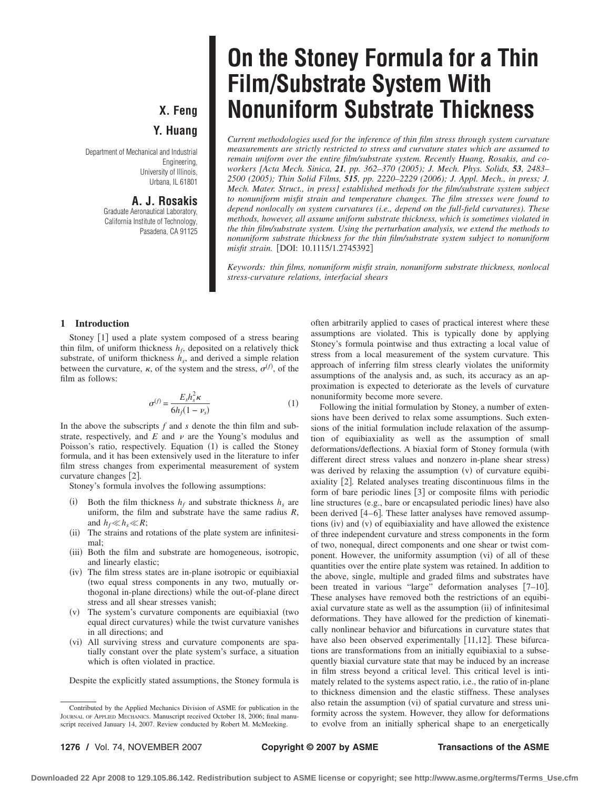## **X. Feng Y. Huang**

Department of Mechanical and Industrial Engineering, University of Illinois, Urbana, IL 61801

### **A. J. Rosakis**

Graduate Aeronautical Laboratory, California Institute of Technology, Pasadena, CA 91125

# **On the Stoney Formula for a Thin Film/Substrate System With Nonuniform Substrate Thickness**

*Current methodologies used for the inference of thin film stress through system curvature measurements are strictly restricted to stress and curvature states which are assumed to remain uniform over the entire film/substrate system. Recently Huang, Rosakis, and coworkers [Acta Mech. Sinica, 21, pp. 362–370 (2005); J. Mech. Phys. Solids, 53, 2483– 2500 (2005); Thin Solid Films, 515, pp. 2220–2229 (2006); J. Appl. Mech., in press; J. Mech. Mater. Struct., in press] established methods for the film/substrate system subject to nonuniform misfit strain and temperature changes. The film stresses were found to depend nonlocally on system curvatures (i.e., depend on the full-field curvatures). These methods, however, all assume uniform substrate thickness, which is sometimes violated in the thin film/substrate system. Using the perturbation analysis, we extend the methods to nonuniform substrate thickness for the thin film/substrate system subject to nonuniform* misfit strain. [DOI: 10.1115/1.2745392]

*Keywords: thin films, nonuniform misfit strain, nonuniform substrate thickness, nonlocal stress-curvature relations, interfacial shears*

### **1 Introduction**

Stoney [1] used a plate system composed of a stress bearing thin film, of uniform thickness  $h_f$ , deposited on a relatively thick substrate, of uniform thickness  $h<sub>s</sub>$ , and derived a simple relation between the curvature,  $\kappa$ , of the system and the stress,  $\sigma^{(f)}$ , of the film as follows:

$$
\sigma^{(f)} = \frac{E_s h_s^2 \kappa}{6h_f(1 - \nu_s)}\tag{1}
$$

In the above the subscripts *f* and *s* denote the thin film and substrate, respectively, and  $E$  and  $\nu$  are the Young's modulus and Poisson's ratio, respectively. Equation (1) is called the Stoney formula, and it has been extensively used in the literature to infer film stress changes from experimental measurement of system curvature changes [2].

Stoney's formula involves the following assumptions:

- (i) Both the film thickness  $h_f$  and substrate thickness  $h_s$  are uniform, the film and substrate have the same radius *R*, and  $h_f \ll h_s \ll R$ ;
- (ii) The strains and rotations of the plate system are infinitesimal;
- (iii) Both the film and substrate are homogeneous, isotropic, and linearly elastic;
- (iv) The film stress states are in-plane isotropic or equibiaxial two equal stress components in any two, mutually orthogonal in-plane directions) while the out-of-plane direct stress and all shear stresses vanish;
- $(v)$  The system's curvature components are equibiaxial (two equal direct curvatures) while the twist curvature vanishes in all directions; and
- (vi) All surviving stress and curvature components are spatially constant over the plate system's surface, a situation which is often violated in practice.

Despite the explicitly stated assumptions, the Stoney formula is

often arbitrarily applied to cases of practical interest where these assumptions are violated. This is typically done by applying Stoney's formula pointwise and thus extracting a local value of stress from a local measurement of the system curvature. This approach of inferring film stress clearly violates the uniformity assumptions of the analysis and, as such, its accuracy as an approximation is expected to deteriorate as the levels of curvature nonuniformity become more severe.

Following the initial formulation by Stoney, a number of extensions have been derived to relax some assumptions. Such extensions of the initial formulation include relaxation of the assumption of equibiaxiality as well as the assumption of small deformations/deflections. A biaxial form of Stoney formula (with different direct stress values and nonzero in-plane shear stress was derived by relaxing the assumption  $(v)$  of curvature equibiaxiality [2]. Related analyses treating discontinuous films in the form of bare periodic lines [3] or composite films with periodic line structures (e.g., bare or encapsulated periodic lines) have also been derived [4-6]. These latter analyses have removed assumptions  $(iv)$  and  $(v)$  of equibiaxiality and have allowed the existence of three independent curvature and stress components in the form of two, nonequal, direct components and one shear or twist component. However, the uniformity assumption (vi) of all of these quantities over the entire plate system was retained. In addition to the above, single, multiple and graded films and substrates have been treated in various "large" deformation analyses [7-10]. These analyses have removed both the restrictions of an equibiaxial curvature state as well as the assumption (ii) of infinitesimal deformations. They have allowed for the prediction of kinematically nonlinear behavior and bifurcations in curvature states that have also been observed experimentally [11,12]. These bifurcations are transformations from an initially equibiaxial to a subsequently biaxial curvature state that may be induced by an increase in film stress beyond a critical level. This critical level is intimately related to the systems aspect ratio, i.e., the ratio of in-plane to thickness dimension and the elastic stiffness. These analyses also retain the assumption (vi) of spatial curvature and stress uniformity across the system. However, they allow for deformations to evolve from an initially spherical shape to an energetically

**1276 /** Vol. 74, NOVEMBER 2007 **Copyright © 2007 by ASME Transactions of the ASME**

Contributed by the Applied Mechanics Division of ASME for publication in the JOURNAL OF APPLIED MECHANICS. Manuscript received October 18, 2006; final manuscript received January 14, 2007. Review conducted by Robert M. McMeeking.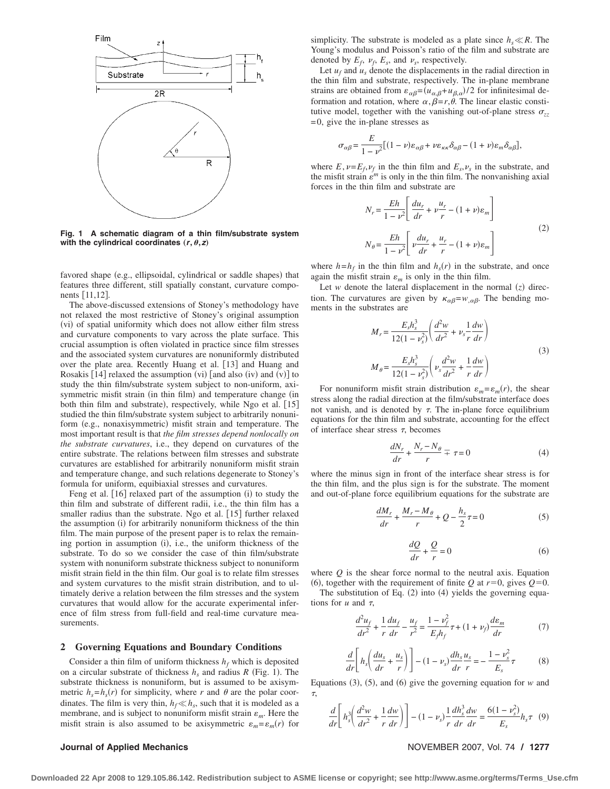

**Fig. 1 A schematic diagram of a thin film/substrate system** with the cylindrical coordinates  $(r, \theta, z)$ 

favored shape (e.g., ellipsoidal, cylindrical or saddle shapes) that features three different, still spatially constant, curvature components [11,12].

The above-discussed extensions of Stoney's methodology have not relaxed the most restrictive of Stoney's original assumption (vi) of spatial uniformity which does not allow either film stress and curvature components to vary across the plate surface. This crucial assumption is often violated in practice since film stresses and the associated system curvatures are nonuniformly distributed over the plate area. Recently Huang et al. [13] and Huang and Rosakis  $[14]$  relaxed the assumption (vi) [and also (iv) and (v)] to study the thin film/substrate system subject to non-uniform, axisymmetric misfit strain (in thin film) and temperature change (in both thin film and substrate), respectively, while Ngo et al. [15] studied the thin film/substrate system subject to arbitrarily nonuniform (e.g., nonaxisymmetric) misfit strain and temperature. The most important result is that *the film stresses depend nonlocally on the substrate curvatures*, i.e., they depend on curvatures of the entire substrate. The relations between film stresses and substrate curvatures are established for arbitrarily nonuniform misfit strain and temperature change, and such relations degenerate to Stoney's formula for uniform, equibiaxial stresses and curvatures.

Feng et al. [16] relaxed part of the assumption (i) to study the thin film and substrate of different radii, i.e., the thin film has a smaller radius than the substrate. Ngo et al. [15] further relaxed the assumption (i) for arbitrarily nonuniform thickness of the thin film. The main purpose of the present paper is to relax the remaining portion in assumption  $(i)$ , i.e., the uniform thickness of the substrate. To do so we consider the case of thin film/substrate system with nonuniform substrate thickness subject to nonuniform misfit strain field in the thin film. Our goal is to relate film stresses and system curvatures to the misfit strain distribution, and to ultimately derive a relation between the film stresses and the system curvatures that would allow for the accurate experimental inference of film stress from full-field and real-time curvature measurements.

### **2 Governing Equations and Boundary Conditions**

Consider a thin film of uniform thickness  $h_f$  which is deposited on a circular substrate of thickness  $h_s$  and radius  $R$  (Fig. 1). The substrate thickness is nonuniform, but is assumed to be axisymmetric  $h_s = h_s(r)$  for simplicity, where *r* and  $\theta$  are the polar coordinates. The film is very thin,  $h_f \ll h_s$ , such that it is modeled as a membrane, and is subject to nonuniform misfit strain  $\varepsilon_m$ . Here the misfit strain is also assumed to be axisymmetric  $\varepsilon_m = \varepsilon_m(r)$  for

simplicity. The substrate is modeled as a plate since  $h_s \ll R$ . The Young's modulus and Poisson's ratio of the film and substrate are denoted by  $E_f$ ,  $\nu_f$ ,  $E_s$ , and  $\nu_s$ , respectively.

Let  $u_f$  and  $u_s$  denote the displacements in the radial direction in the thin film and substrate, respectively. The in-plane membrane strains are obtained from  $\varepsilon_{\alpha\beta} = (u_{\alpha,\beta} + u_{\beta,\alpha})/2$  for infinitesimal deformation and rotation, where  $\alpha, \beta = r, \theta$ . The linear elastic constitutive model, together with the vanishing out-of-plane stress  $\sigma_{zz}$  $= 0$ , give the in-plane stresses as

$$
\sigma_{\alpha\beta} = \frac{E}{1 - \nu^2} \left[ (1 - \nu) \varepsilon_{\alpha\beta} + \nu \varepsilon_{\kappa\kappa} \delta_{\alpha\beta} - (1 + \nu) \varepsilon_m \delta_{\alpha\beta} \right],
$$

where  $E, \nu = E_f, \nu_f$  in the thin film and  $E_s, \nu_s$  in the substrate, and the misfit strain  $\varepsilon^m$  is only in the thin film. The nonvanishing axial forces in the thin film and substrate are

$$
N_r = \frac{Eh}{1 - \nu^2} \left[ \frac{du_r}{dr} + \nu \frac{u_r}{r} - (1 + \nu)\varepsilon_m \right]
$$
  

$$
N_\theta = \frac{Eh}{1 - \nu^2} \left[ \nu \frac{du_r}{dr} + \frac{u_r}{r} - (1 + \nu)\varepsilon_m \right]
$$
 (2)

where  $h=h_f$  in the thin film and  $h_s(r)$  in the substrate, and once again the misfit strain  $\varepsilon_m$  is only in the thin film.

Let *w* denote the lateral displacement in the normal  $(z)$  direction. The curvatures are given by  $\kappa_{\alpha\beta} = w_{,\alpha\beta}$ . The bending moments in the substrates are

$$
M_r = \frac{E_s h_s^3}{12(1 - v_s^2)} \left( \frac{d^2 w}{dr^2} + v_s \frac{1}{r} \frac{dw}{dr} \right)
$$
  

$$
M_\theta = \frac{E_s h_s^3}{12(1 - v_s^2)} \left( v_s \frac{d^2 w}{dr^2} + \frac{1}{r} \frac{dw}{dr} \right)
$$
 (3)

For nonuniform misfit strain distribution  $\varepsilon_m = \varepsilon_m(r)$ , the shear stress along the radial direction at the film/substrate interface does not vanish, and is denoted by  $\tau$ . The in-plane force equilibrium equations for the thin film and substrate, accounting for the effect of interface shear stress  $\tau$ , becomes

$$
\frac{dN_r}{dr} + \frac{N_r - N_\theta}{r} = \tau = 0\tag{4}
$$

where the minus sign in front of the interface shear stress is for the thin film, and the plus sign is for the substrate. The moment and out-of-plane force equilibrium equations for the substrate are

$$
\frac{dM_r}{dr} + \frac{M_r - M_\theta}{r} + Q - \frac{h_s}{2}\tau = 0\tag{5}
$$

$$
\frac{dQ}{dr} + \frac{Q}{r} = 0\tag{6}
$$

where *Q* is the shear force normal to the neutral axis. Equation 6, together with the requirement of finite *Q* at  $r=0$ , gives  $Q=0$ . The substitution of Eq.  $(2)$  into  $(4)$  yields the governing equations for  $u$  and  $\tau$ ,

$$
\frac{d^2u_f}{dr^2} + \frac{1}{r}\frac{du_f}{dr} - \frac{u_f}{r^2} = \frac{1 - v_f^2}{E_f h_f} \tau + (1 + v_f)\frac{d\varepsilon_m}{dr}
$$
(7)

$$
\frac{d}{dr}\left[h_s\left(\frac{du_s}{dr} + \frac{u_s}{r}\right)\right] - (1 - \nu_s)\frac{dh_s}{dr}\frac{u_s}{r} = -\frac{1 - \nu_s^2}{E_s}\tau\tag{8}
$$

Equations  $(3)$ ,  $(5)$ , and  $(6)$  give the governing equation for *w* and  $\tau$ 

$$
\frac{d}{dr}\left[h_s^3\left(\frac{d^2w}{dr^2} + \frac{1}{r}\frac{dw}{dr}\right)\right] - (1 - \nu_s)\frac{1}{r}\frac{dh_s^3}{dr}\frac{dw}{dr} = \frac{6(1 - \nu_s^2)}{E_s}h_s\tau \quad (9)
$$

### **Journal of Applied Mechanics** November 2007, Vol. 74 / 1277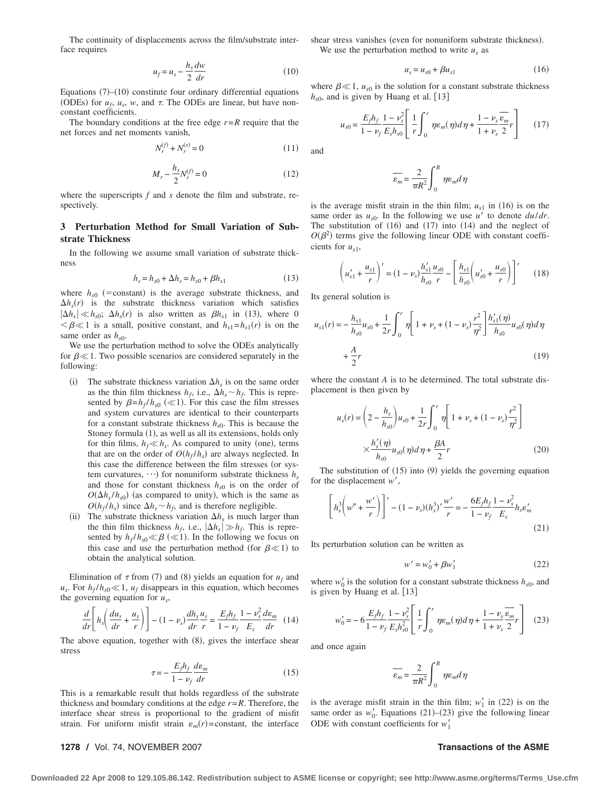The continuity of displacements across the film/substrate interface requires

$$
u_f = u_s - \frac{h_s}{2} \frac{dw}{dr} \tag{10}
$$

Equations  $(7)$ – $(10)$  constitute four ordinary differential equations (ODEs) for  $u_f$ ,  $u_s$ ,  $w$ , and  $\tau$ . The ODEs are linear, but have nonconstant coefficients.

The boundary conditions at the free edge  $r = R$  require that the net forces and net moments vanish,

$$
N_r^{(f)} + N_r^{(s)} = 0\tag{11}
$$

$$
M_r - \frac{h_s}{2} N_r^{(f)} = 0
$$
 (12)

where the superscripts *f* and *s* denote the film and substrate, respectively.

### **3 Perturbation Method for Small Variation of Substrate Thickness**

In the following we assume small variation of substrate thickness

$$
h_s = h_{s0} + \Delta h_s = h_{s0} + \beta h_{s1} \tag{13}
$$

where  $h_{s0}$  (=constant) is the average substrate thickness, and  $\Delta h_s(r)$  is the substrate thickness variation which satisfies  $|\Delta h_s| \ll h_{s0}$ ;  $\Delta h_s(r)$  is also written as  $\beta h_{s1}$  in (13), where 0  $\lt \beta \ll 1$  is a small, positive constant, and  $h_{s1} = h_{s1}(r)$  is on the same order as  $h_{s0}$ .

We use the perturbation method to solve the ODEs analytically for  $\beta \ll 1$ . Two possible scenarios are considered separately in the following:

- (i) The substrate thickness variation  $\Delta h_s$  is on the same order as the thin film thickness  $h_f$ , i.e.,  $\Delta h_s \sim h_f$ . This is represented by  $\beta = h_f / h_{s0}$  ( $\ll$ 1). For this case the film stresses and system curvatures are identical to their counterparts for a constant substrate thickness  $h_{s0}$ . This is because the Stoney formula  $(1)$ , as well as all its extensions, holds only for thin films,  $h_f \ll h_s$ . As compared to unity (one), terms that are on the order of  $O(h_f/h_s)$  are always neglected. In this case the difference between the film stresses (or system curvatures,  $\cdots$ ) for nonuniform substrate thickness  $h_s$ and those for constant thickness  $h_{s0}$  is on the order of  $O(\Delta h_s/h_{s0})$  (as compared to unity), which is the same as  $O(h_f/h_s)$  since  $\Delta h_s \sim h_f$ , and is therefore negligible.
- (ii) The substrate thickness variation  $\Delta h<sub>s</sub>$  is much larger than the thin film thickness  $h_f$ , i.e.,  $|\Delta h_s| \gg h_f$ . This is represented by  $h_f/h_{s0} \ll \beta \ll 1$ ). In the following we focus on this case and use the perturbation method (for  $\beta \ll 1$ ) to obtain the analytical solution.

Elimination of  $\tau$  from (7) and (8) yields an equation for  $u_f$  and  $u_s$ . For  $h_f/h_{s0} \ll 1$ ,  $u_f$  disappears in this equation, which becomes the governing equation for *us*,

$$
\frac{d}{dr}\left[h_s\left(\frac{du_s}{dr} + \frac{u_s}{r}\right)\right] - (1 - \nu_s)\frac{dh_s}{dr}\frac{u_s}{r} = \frac{E_f h_f}{1 - \nu_f}\frac{1 - \nu_s^2}{E_s}\frac{d\varepsilon_m}{dr} \quad (14)
$$

The above equation, together with  $(8)$ , gives the interface shear stress

$$
\tau = -\frac{E_f h_f}{1 - \nu_f} \frac{d\varepsilon_m}{dr} \tag{15}
$$

This is a remarkable result that holds regardless of the substrate thickness and boundary conditions at the edge  $r = R$ . Therefore, the interface shear stress is proportional to the gradient of misfit strain. For uniform misfit strain  $\varepsilon_m(r)$ =constant, the interface

**1278 /** Vol. 74, NOVEMBER 2007 **Transactions of the ASME**

shear stress vanishes (even for nonuniform substrate thickness). We use the perturbation method to write  $u_s$  as

$$
u_s = u_{s0} + \beta u_{s1} \tag{16}
$$

where  $\beta \ll 1$ ,  $u_{s0}$  is the solution for a constant substrate thickness  $h_{s0}$ , and is given by Huang et al. [13]

$$
u_{s0} = \frac{E_f h_f}{1 - \nu_f} \frac{1 - \nu_s^2}{E_s h_{s0}} \left[ \frac{1}{r} \int_0^r \eta \varepsilon_m(\eta) d\eta + \frac{1 - \nu_s}{1 + \nu_s} \frac{\varepsilon_m}{2} r \right] \tag{17}
$$

and

$$
\overline{\varepsilon_m} = \frac{2}{\pi R^2} \int_0^R \eta \varepsilon_m d\eta
$$

is the average misfit strain in the thin film;  $u_{s1}$  in (16) is on the same order as  $u_{s0}$ . In the following we use  $u'$  to denote  $du/dr$ . The substitution of  $(16)$  and  $(17)$  into  $(14)$  and the neglect of  $O(\beta^2)$  terms give the following linear ODE with constant coefficients for  $u_{s1}$ ,

$$
\left(u'_{s1} + \frac{u_{s1}}{r}\right)' = (1 - \nu_s) \frac{h'_{s1}}{h_{s0}} \frac{u_{s0}}{r} - \left[\frac{h_{s1}}{h_{s0}} \left(u'_{s0} + \frac{u_{s0}}{r}\right)\right]'
$$
(18)

Its general solution is

$$
u_{s1}(r) = -\frac{h_{s1}}{h_{s0}}u_{s0} + \frac{1}{2r} \int_0^r \eta \left[ 1 + \nu_s + (1 - \nu_s) \frac{r^2}{\eta^2} \right] \frac{h'_{s1}(\eta)}{h_{s0}} u_{s0}(\eta) d\eta
$$
  
+  $\frac{A}{2}r$  (19)

where the constant *A* is to be determined. The total substrate displacement is then given by

$$
u_s(r) = \left(2 - \frac{h_s}{h_{s0}}\right)u_{s0} + \frac{1}{2r} \int_0^r \eta \left[1 + \nu_s + (1 - \nu_s)\frac{r^2}{\eta^2}\right] \times \frac{h'_s(\eta)}{h_{s0}} u_{s0}(\eta) d\eta + \frac{\beta A}{2}r
$$
 (20)

The substitution of  $(15)$  into  $(9)$  yields the governing equation for the displacement  $w'$ ,

$$
\left[h_s^3 \left(w'' + \frac{w'}{r}\right)\right]' - (1 - \nu_s)(h_s^3)' \frac{w'}{r} = -\frac{6E_f h_f}{1 - \nu_f} \frac{1 - \nu_s^2}{E_s} h_s \varepsilon_m' \tag{21}
$$

Its perturbation solution can be written as

$$
w' = w'_0 + \beta w'_1 \tag{22}
$$

where  $w'_0$  is the solution for a constant substrate thickness  $h_{s0}$ , and is given by Huang et al. [13]

$$
w'_{0} = -6\frac{E_{f}h_{f}}{1-\nu_{f}}\frac{1-\nu_{s}^{2}}{E_{s}h_{s0}^{2}} \left[\frac{1}{r}\int_{0}^{r} \eta \varepsilon_{m}(\eta) d\eta + \frac{1-\nu_{s}}{1+\nu_{s}}\frac{\overline{\varepsilon_{m}}}{2}r\right]
$$
 (23)

and once again

$$
\overline{\varepsilon_m} = \frac{2}{\pi R^2} \int_0^R \eta \varepsilon_m d\eta
$$

is the average misfit strain in the thin film;  $w'_1$  in (22) is on the same order as  $w'_0$ . Equations (21)–(23) give the following linear ODE with constant coefficients for  $w_1'$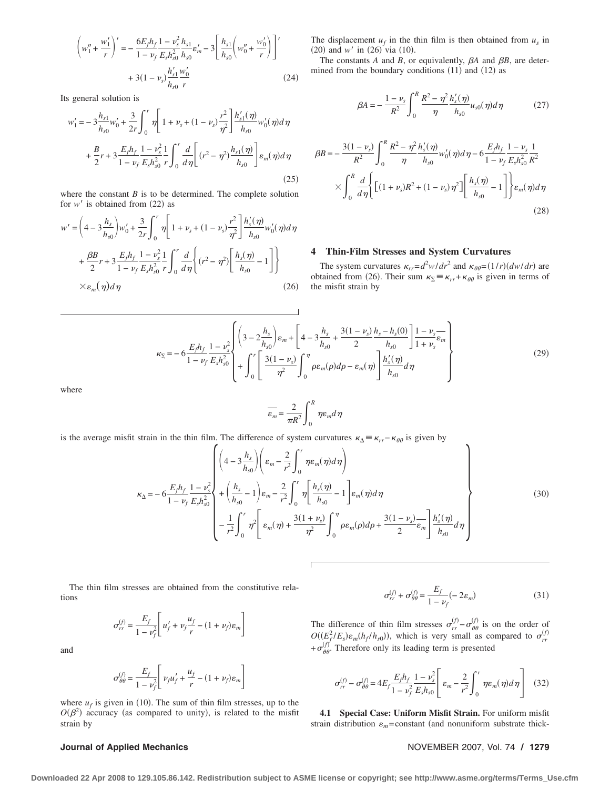$$
\left(w_1'' + \frac{w_1'}{r}\right)' = -\frac{6E_f h_f}{1 - v_f} \frac{1 - v_s^2}{E_s h_{s0}^2} h_{s0}^r + 3\left[\frac{h_{s1}}{h_{s0}} \left(w_0'' + \frac{w_0'}{r}\right)\right]'
$$
  
+ 3(1 - v\_s)  $\frac{h_{s1}'}{h_{s0}} \frac{w_0'}{r}$  (24)

Its general solution is

$$
w'_{1} = -3\frac{h_{s1}}{h_{s0}}w'_{0} + \frac{3}{2r}\int_{0}^{r}\eta\left[1 + \nu_{s} + (1 - \nu_{s})\frac{r^{2}}{\eta^{2}}\right]\frac{h'_{s1}(\eta)}{h_{s0}}w'_{0}(\eta)d\eta
$$

$$
+ \frac{B}{2}r + 3\frac{E_{f}h_{f}}{1 - \nu_{f}}\frac{1 - \nu_{s}^{2}}{E_{s}h_{s0}^{2}}\frac{1}{r}\int_{0}^{r}\frac{d}{d\eta}\left[(r^{2} - \eta^{2})\frac{h_{s1}(\eta)}{h_{s0}}\right]\varepsilon_{m}(\eta)d\eta
$$
(25)

where the constant  $B$  is to be determined. The complete solution for  $w'$  is obtained from  $(22)$  as

$$
w' = \left(4 - 3\frac{h_s}{h_{s0}}\right)w'_0 + \frac{3}{2r}\int_0^r \eta \left[1 + \nu_s + (1 - \nu_s)\frac{r^2}{\eta^2}\right] \frac{h'_s(\eta)}{h_{s0}} w'_0(\eta) d\eta
$$
  
+  $\frac{\beta B}{2}r + 3\frac{E_f h_f}{1 - \nu_f} \frac{1 - \nu_s^2}{E_s h_{s0}^2} \frac{1}{r} \int_0^r \frac{d}{d\eta} \left\{(r^2 - \eta^2) \left[\frac{h_s(\eta)}{h_{s0}} - 1\right]\right\}$   
 $\times \varepsilon_m(\eta) d\eta$  (26)

The displacement  $u_f$  in the thin film is then obtained from  $u_s$  in  $(20)$  and *w'* in  $(26)$  via  $(10)$ .

The constants  $A$  and  $B$ , or equivalently,  $\beta A$  and  $\beta B$ , are determined from the boundary conditions  $(11)$  and  $(12)$  as

$$
\beta A = -\frac{1 - \nu_s}{R^2} \int_0^R \frac{R^2 - \eta^2}{\eta} \frac{h_s'(\eta)}{h_{s0}} u_{s0}(\eta) d\eta \tag{27}
$$

$$
\beta B = -\frac{3(1-\nu_s)}{R^2} \int_0^R \frac{R^2 - \eta^2}{\eta} \frac{h_s'(\eta)}{h_{s0}} w_0'(\eta) d\eta - 6 \frac{E_f h_f}{1 - \nu_f} \frac{1 - \nu_s}{E_s h_{s0}^2} \frac{1}{R^2}
$$

$$
\times \int_0^R \frac{d}{d\eta} \Biggl\{ \Biggl[ (1 + \nu_s) R^2 + (1 - \nu_s) \eta^2 \Biggr] \Biggl[ \frac{h_s(\eta)}{h_{s0}} - 1 \Biggr] \Biggr\} \varepsilon_m(\eta) d\eta
$$
(28)

### **4 Thin-Film Stresses and System Curvatures**

The system curvatures  $\kappa_{rr} = d^2w/dr^2$  and  $\kappa_{\theta\theta} = (1/r)(dw/dr)$  are obtained from (26). Their sum  $\kappa_{\Sigma} = \kappa_{rr} + \kappa_{\theta\theta}$  is given in terms of the misfit strain by

$$
\kappa_{\Sigma} = -6 \frac{E_{f} h_{f}}{1 - \nu_{f}} \frac{1 - \nu_{s}^{2}}{E_{s} h_{s0}^{2}} \left\{ + \int_{0}^{r} \left[ \frac{3(1 - \nu_{s})}{\eta_{2}} \int_{0}^{\eta_{2}} \rho \epsilon_{m}(\rho) d\rho - \epsilon_{m}(\eta) \right] \frac{h_{s} - h_{s}(0)}{h_{s0}} \right\} \frac{1 - \nu_{s}}{h_{s0}} \frac{1 - \nu_{s}}{1 + \nu_{s}} \epsilon_{m}
$$
(29)

where

$$
\overline{\varepsilon_m} = \frac{2}{\pi R^2} \int_0^R \eta \varepsilon_m d\eta
$$

is the average misfit strain in the thin film. The difference of system curvatures  $\kappa_{\Delta} = \kappa_{rr} - \kappa_{\theta\theta}$  is given by

$$
\kappa_{\Delta} = -6 \frac{E_{f} h_{f}}{1 - \nu_{f}} \frac{1 - \nu_{s}^{2}}{E_{s} h_{s0}^{2}} \left\{ + \left(\frac{h_{s}}{h_{s0}} - 1\right) \varepsilon_{m} - \frac{2}{r^{2}} \int_{0}^{r} \eta \left[\frac{h_{s}(\eta)}{h_{s0}} - 1\right] \varepsilon_{m}(\eta) d\eta \right\}
$$
\n
$$
+ \left(\frac{h_{s}}{h_{s0}} - 1\right) \varepsilon_{m} - \frac{2}{r^{2}} \int_{0}^{r} \eta \left[\frac{h_{s}(\eta)}{h_{s0}} - 1\right] \varepsilon_{m}(\eta) d\eta
$$
\n
$$
- \frac{1}{r^{2}} \int_{0}^{r} \eta^{2} \left[\varepsilon_{m}(\eta) + \frac{3(1 + \nu_{s})}{\eta^{2}} \int_{0}^{\eta} \rho \varepsilon_{m}(\rho) d\rho + \frac{3(1 - \nu_{s})}{2} \varepsilon_{m} \left[\frac{h_{s}'(\eta)}{h_{s0}} d\eta\right] \right\}
$$
\n(30)

The thin film stresses are obtained from the constitutive relations

$$
\sigma_{rr}^{(f)} = \frac{E_f}{1 - \nu_f^2} \left[ u_f' + \nu_f \frac{u_f}{r} - (1 + \nu_f) \varepsilon_m \right]
$$

and

$$
\sigma_{\theta\theta}^{(f)} = \frac{E_f}{1 - \nu_f^2} \left[ \nu_f u_f' + \frac{u_f}{r} - (1 + \nu_f) \varepsilon_m \right]
$$

where  $u_f$  is given in (10). The sum of thin film stresses, up to the  $O(\beta^2)$  accuracy (as compared to unity), is related to the misfit strain by

$$
\sigma_{rr}^{(f)} + \sigma_{\theta\theta}^{(f)} = \frac{E_f}{1 - \nu_f} (-2\varepsilon_m)
$$
\n(31)

The difference of thin film stresses  $\sigma_{rr}^{(f)} - \sigma_{\theta\theta}^{(f)}$  is on the order of  $O((E_f^2/E_s) \varepsilon_m(h_f/h_{s0}))$ , which is very small as compared to  $\sigma_{rr}^{(f)}$  $+\sigma_{\theta\theta}^{(f)}$ . Therefore only its leading term is presented

$$
\sigma_{rr}^{(f)} - \sigma_{\theta\theta}^{(f)} = 4E_f \frac{E_f h_f}{1 - \nu_f^2} \frac{1 - \nu_s^2}{E_s h_{s0}} \left[ \varepsilon_m - \frac{2}{r^2} \int_0^r \eta \varepsilon_m(\eta) d\eta \right] \tag{32}
$$

**4.1 Special Case: Uniform Misfit Strain.** For uniform misfit strain distribution  $\varepsilon_m$ =constant (and nonuniform substrate thick-

### **Journal of Applied Mechanics** November 2007, Vol. 74 / 1279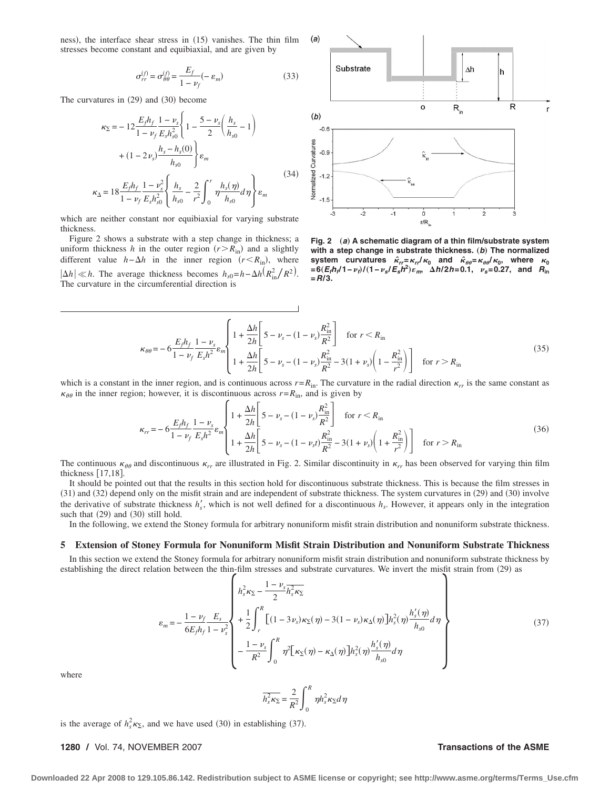ness), the interface shear stress in  $(15)$  vanishes. The thin film stresses become constant and equibiaxial, and are given by

$$
\sigma_{rr}^{(f)} = \sigma_{\theta\theta}^{(f)} = \frac{E_f}{1 - \nu_f} (-\varepsilon_m)
$$
\n(33)

The curvatures in  $(29)$  and  $(30)$  become

$$
\kappa_{\Sigma} = -12 \frac{E_f h_f}{1 - \nu_f} \frac{1 - \nu_s}{E_s h_{s0}^2} \left\{ 1 - \frac{5 - \nu_s}{2} \left( \frac{h_s}{h_{s0}} - 1 \right) \right\}
$$

$$
+ (1 - 2 \nu_s) \frac{h_s - h_s(0)}{h_{s0}} \right\} \varepsilon_m
$$

$$
\kappa_{\Delta} = 18 \frac{E_f h_f}{1 - \nu_f} \frac{1 - \nu_s^2}{E_s h_{s0}^2} \left\{ \frac{h_s}{h_{s0}} - \frac{2}{r^2} \int_0^r \eta \frac{h_s(\eta)}{h_{s0}} d\eta \right\} \varepsilon_m
$$
(34)

which are neither constant nor equibiaxial for varying substrate thickness.

Figure 2 shows a substrate with a step change in thickness; a uniform thickness *h* in the outer region  $(r > R_{in})$  and a slightly different value  $h - \Delta h$  in the inner region  $(r \le R_{\text{in}})$ , where  $|h \times h$ . The average thickness becomes  $h_{s0} = h - \Delta h (R_{in}^2/R^2)$ . The curvature in the circumferential direction is



**Fig. 2** "*a*… **A schematic diagram of a thin film/substrate system** with a step change in substrate thickness. (b) The normalized system curvatures  $\hat{\kappa}_{rr} = \kappa_{rr}/\kappa_0$  and  $\hat{\kappa}_{\theta\theta} = \kappa_{\theta\theta}/\kappa_0$ , where  $\kappa_0$ <br>=6(E<sub>f</sub>h<sub>f</sub>/1-*v<sub>t</sub>*)/(1-*v<sub>s</sub>*/E<sub>s</sub>h<sup>2</sup>)ε<sub>m</sub>, Δh/2h=0.1, *v<sub>s</sub>*=0.27, and R<sub>in</sub> **=***R***/3.**

$$
\kappa_{\theta\theta} = -6 \frac{E_f h_f}{1 - \nu_f} \frac{1 - \nu_s}{E_s h^2} \varepsilon_m \left\{ 1 + \frac{\Delta h}{2h} \left[ 5 - \nu_s - (1 - \nu_s) \frac{R_{\rm in}^2}{R^2} \right] \quad \text{for } r < R_{\rm in} \right\}
$$
\n
$$
1 + \frac{\Delta h}{2h} \left[ 5 - \nu_s - (1 - \nu_s) \frac{R_{\rm in}^2}{R^2} - 3(1 + \nu_s) \left( 1 - \frac{R_{\rm in}^2}{r^2} \right) \right] \quad \text{for } r > R_{\rm in} \tag{35}
$$

which is a constant in the inner region, and is continuous across  $r = R_{\text{in}}$ . The curvature in the radial direction  $\kappa_{rr}$  is the same constant as  $\kappa_{\theta\theta}$  in the inner region; however, it is discontinuous across  $r=R_{\text{in}}$ , and is given by

$$
\kappa_{rr} = -6 \frac{E_f h_f}{1 - \nu_f} \frac{1 - \nu_s}{E_s h^2} \varepsilon_m \left\{ 1 + \frac{\Delta h}{2h} \left[ 5 - \nu_s - (1 - \nu_s) \frac{R_{\rm in}^2}{R^2} \right] \quad \text{for } r < R_{\rm in} \right\}
$$
\n
$$
1 + \frac{\Delta h}{2h} \left[ 5 - \nu_s - (1 - \nu_s t) \frac{R_{\rm in}^2}{R^2} - 3(1 + \nu_s) \left( 1 + \frac{R_{\rm in}^2}{r^2} \right) \right] \quad \text{for } r > R_{\rm in} \tag{36}
$$

The continuous  $\kappa_{\theta\theta}$  and discontinuous  $\kappa_{rr}$  are illustrated in Fig. 2. Similar discontinuity in  $\kappa_{rr}$  has been observed for varying thin film thickness [17,18].

It should be pointed out that the results in this section hold for discontinuous substrate thickness. This is because the film stresses in 31 and 32 depend only on the misfit strain and are independent of substrate thickness. The system curvatures in 29 and 30 involve the derivative of substrate thickness  $h'_s$ , which is not well defined for a discontinuous  $h_s$ . However, it appears only in the integration such that  $(29)$  and  $(30)$  still hold.

In the following, we extend the Stoney formula for arbitrary nonuniform misfit strain distribution and nonuniform substrate thickness.

### **5 Extension of Stoney Formula for Nonuniform Misfit Strain Distribution and Nonuniform Substrate Thickness**

In this section we extend the Stoney formula for arbitrary nonuniform misfit strain distribution and nonuniform substrate thickness by establishing the direct relation between the thin-film stresses and substrate curvatures. We invert the misfit strain from (29) as

$$
\varepsilon_{m} = -\frac{1 - \nu_{f}}{6E_{f}h_{f}} \frac{E_{s}}{1 - \nu_{s}^{2}} \left\{ \frac{h_{s}^{2}\kappa_{\Sigma} - \frac{1 - \nu_{s}}{2}h_{s}^{2}\kappa_{\Sigma}}{2} + \frac{1}{2}\int_{r}^{R} \left[ (1 - 3\nu_{s})\kappa_{\Sigma}(\eta) - 3(1 - \nu_{s})\kappa_{\Delta}(\eta) \right] h_{s}^{2}(\eta) \frac{h_{s}'(\eta)}{h_{s0}} d\eta - \frac{1 - \nu_{s}}{R^{2}} \int_{0}^{R} \eta^{2} \left[ \kappa_{\Sigma}(\eta) - \kappa_{\Delta}(\eta) \right] h_{s}^{2}(\eta) \frac{h_{s}'(\eta)}{h_{s0}} d\eta \right\}
$$
(37)

where

$$
\overline{h_s^2 \kappa_\Sigma} = \frac{2}{R^2} \int_0^R \eta h_s^2 \kappa_\Sigma d\eta
$$

is the average of  $h_s^2 \kappa_{\Sigma}$ , and we have used (30) in establishing (37).

**1280 /** Vol. 74, NOVEMBER 2007 **Transactions of the ASME**

**Downloaded 22 Apr 2008 to 129.105.86.142. Redistribution subject to ASME license or copyright; see http://www.asme.org/terms/Terms\_Use.cfm**